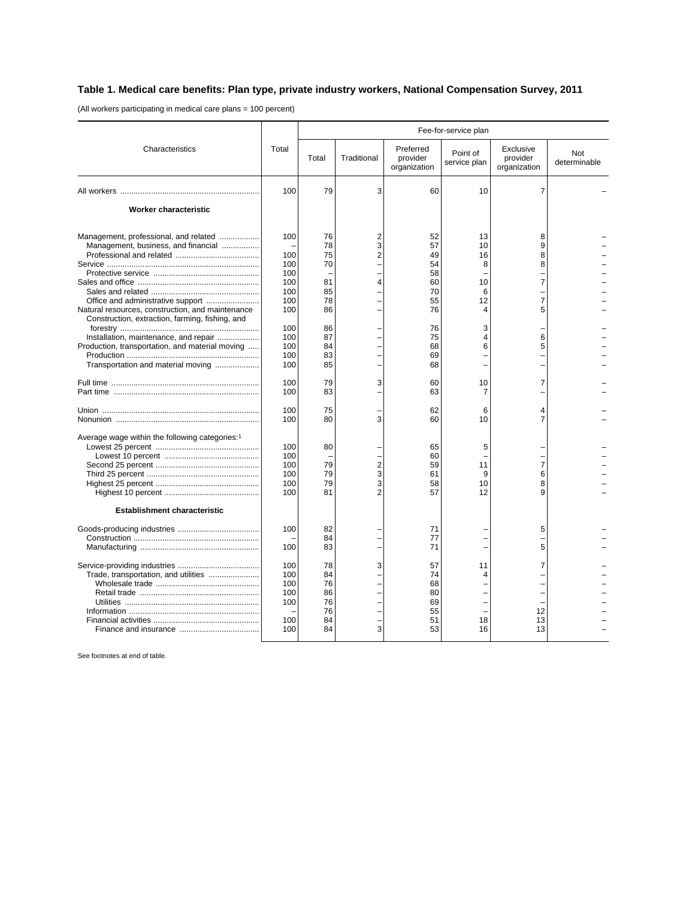## **Table 1. Medical care benefits: Plan type, private industry workers, National Compensation Survey, 2011**

(All workers participating in medical care plans = 100 percent)

|                                                                                                                                                                                                                                                                                                                       |                                                                                         | Fee-for-service plan                                                       |                                            |                                                                                  |                                                          |                                           |                     |
|-----------------------------------------------------------------------------------------------------------------------------------------------------------------------------------------------------------------------------------------------------------------------------------------------------------------------|-----------------------------------------------------------------------------------------|----------------------------------------------------------------------------|--------------------------------------------|----------------------------------------------------------------------------------|----------------------------------------------------------|-------------------------------------------|---------------------|
| Characteristics                                                                                                                                                                                                                                                                                                       | Total                                                                                   | Total                                                                      | Traditional                                | Preferred<br>provider<br>organization                                            | Point of<br>service plan                                 | Exclusive<br>provider<br>organization     | Not<br>determinable |
|                                                                                                                                                                                                                                                                                                                       | 100                                                                                     | 79                                                                         | 3                                          | 60                                                                               | 10                                                       | 7                                         |                     |
| <b>Worker characteristic</b>                                                                                                                                                                                                                                                                                          |                                                                                         |                                                                            |                                            |                                                                                  |                                                          |                                           |                     |
| Management, professional, and related<br>Management, business, and financial<br>Natural resources, construction, and maintenance<br>Construction, extraction, farming, fishing, and<br>Installation, maintenance, and repair<br>Production, transportation, and material moving<br>Transportation and material moving | 100<br>100<br>100<br>100<br>100<br>100<br>100<br>100<br>100<br>100<br>100<br>100<br>100 | 76<br>78<br>75<br>70<br>81<br>85<br>78<br>86<br>86<br>87<br>84<br>83<br>85 | $\overline{2}$<br>3<br>2<br>4              | 52<br>57<br>49<br>54<br>58<br>60<br>70<br>55<br>76<br>76<br>75<br>68<br>69<br>68 | 13<br>10<br>16<br>8<br>10<br>6<br>12<br>4<br>3<br>4<br>6 | 8<br>9<br>8<br>8<br>7<br>7<br>5<br>6<br>5 |                     |
|                                                                                                                                                                                                                                                                                                                       | 100<br>100                                                                              | 79<br>83                                                                   | 3                                          | 60<br>63                                                                         | 10<br>7                                                  | 7                                         |                     |
|                                                                                                                                                                                                                                                                                                                       | 100<br>100                                                                              | 75<br>80                                                                   | 3                                          | 62<br>60                                                                         | 6<br>10                                                  | 4<br>7                                    |                     |
| Average wage within the following categories: <sup>1</sup><br><b>Establishment characteristic</b>                                                                                                                                                                                                                     | 100<br>100<br>100<br>100<br>100<br>100                                                  | 80<br>79<br>79<br>79<br>81                                                 | $\overline{2}$<br>3<br>3<br>$\overline{2}$ | 65<br>60<br>59<br>61<br>58<br>57                                                 | 5<br>11<br>9<br>10<br>12                                 | 7<br>6<br>8<br>9                          |                     |
|                                                                                                                                                                                                                                                                                                                       | 100<br>100                                                                              | 82<br>84<br>83                                                             |                                            | 71<br>77<br>71                                                                   |                                                          | 5<br>5                                    |                     |
| Trade, transportation, and utilities                                                                                                                                                                                                                                                                                  | 100<br>100<br>100<br>100<br>100<br>100<br>100                                           | 78<br>84<br>76<br>86<br>76<br>76<br>84<br>84                               | 3<br>3                                     | 57<br>74<br>68<br>80<br>69<br>55<br>51<br>53                                     | 11<br>4<br>18<br>16                                      | 7<br>12<br>13<br>13                       |                     |

See footnotes at end of table.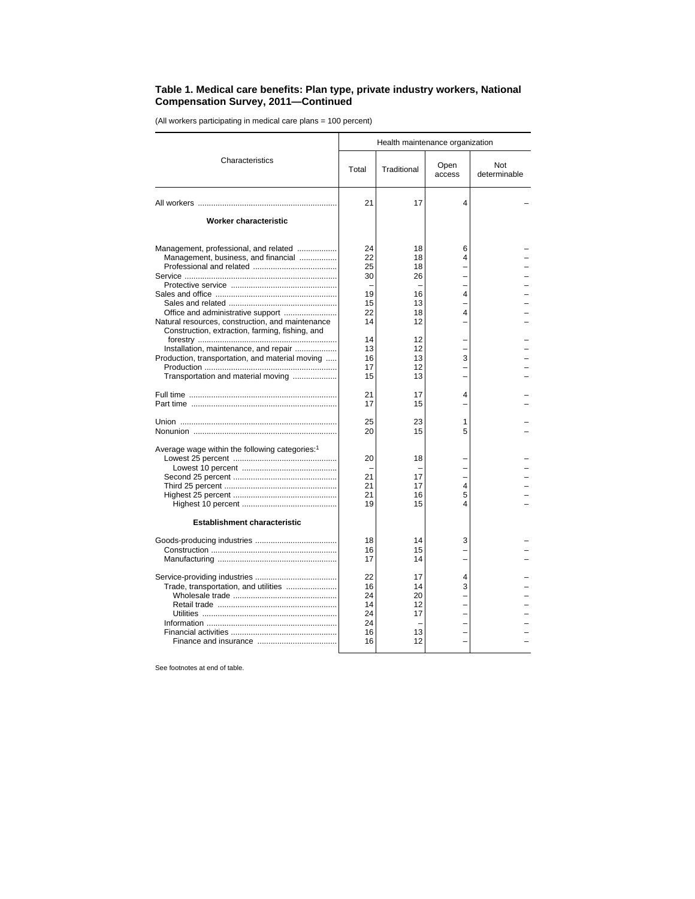## **Table 1. Medical care benefits: Plan type, private industry workers, National Compensation Survey, 2011—Continued**

(All workers participating in medical care plans = 100 percent)

|                                                                                                                                | Health maintenance organization              |                                        |                |                     |  |  |
|--------------------------------------------------------------------------------------------------------------------------------|----------------------------------------------|----------------------------------------|----------------|---------------------|--|--|
| Characteristics                                                                                                                | Total                                        | Traditional                            | Open<br>access | Not<br>determinable |  |  |
|                                                                                                                                | 21                                           | 17                                     | $\Delta$       |                     |  |  |
| Worker characteristic                                                                                                          |                                              |                                        |                |                     |  |  |
| Management, professional, and related<br>Management, business, and financial                                                   | 24<br>22<br>25<br>30                         | 18<br>18<br>18<br>26                   | 6<br>4         |                     |  |  |
| Natural resources, construction, and maintenance<br>Construction, extraction, farming, fishing, and                            | 19<br>15<br>22<br>14                         | 16<br>13<br>18<br>12                   | 4<br>4         |                     |  |  |
| Installation, maintenance, and repair<br>Production, transportation, and material moving<br>Transportation and material moving | 14<br>13<br>16<br>17<br>15                   | 12<br>12<br>13<br>12<br>13             | 3              |                     |  |  |
|                                                                                                                                | 21<br>17                                     | 17<br>15                               | 4              |                     |  |  |
|                                                                                                                                | 25<br>20                                     | 23<br>15                               | 1<br>5         |                     |  |  |
| Average wage within the following categories: <sup>1</sup>                                                                     | 20<br>21<br>21<br>21<br>19                   | 18<br>17<br>17<br>16<br>15             | 4<br>5<br>4    |                     |  |  |
| <b>Establishment characteristic</b>                                                                                            |                                              |                                        |                |                     |  |  |
|                                                                                                                                | 18<br>16<br>17                               | 14<br>15<br>14                         | 3              |                     |  |  |
| Trade, transportation, and utilities                                                                                           | 22<br>16<br>24<br>14<br>24<br>24<br>16<br>16 | 17<br>14<br>20<br>12<br>17<br>13<br>12 | 4<br>3         |                     |  |  |

See footnotes at end of table.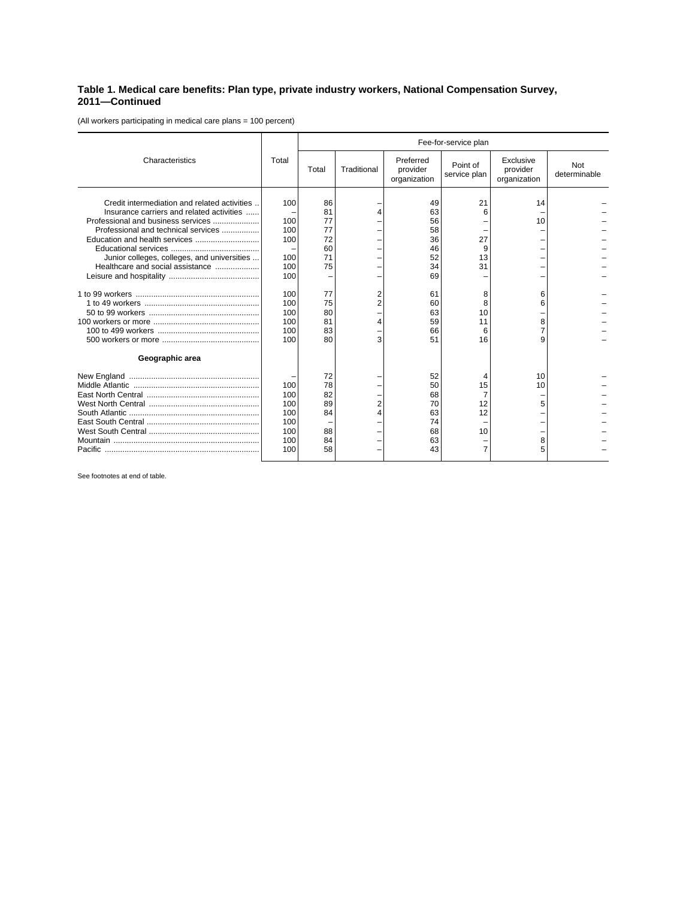## **Table 1. Medical care benefits: Plan type, private industry workers, National Compensation Survey, 2011—Continued**

(All workers participating in medical care plans = 100 percent)

|                                                                                                                                                                                                                                                           |                                                                                         | Fee-for-service plan                                                             |                       |                                                                                        |                                                                 |                                       |                            |  |
|-----------------------------------------------------------------------------------------------------------------------------------------------------------------------------------------------------------------------------------------------------------|-----------------------------------------------------------------------------------------|----------------------------------------------------------------------------------|-----------------------|----------------------------------------------------------------------------------------|-----------------------------------------------------------------|---------------------------------------|----------------------------|--|
| Characteristics                                                                                                                                                                                                                                           | Total                                                                                   | Total                                                                            | Traditional           | Preferred<br>provider<br>organization                                                  | Point of<br>service plan                                        | Exclusive<br>provider<br>organization | <b>Not</b><br>determinable |  |
| Credit intermediation and related activities<br>Insurance carriers and related activities<br>Professional and business services<br>Professional and technical services<br>Junior colleges, colleges, and universities<br>Healthcare and social assistance | 100<br>100<br>100<br>100<br>100<br>100<br>100<br>100<br>100<br>100<br>100<br>100<br>100 | 86<br>81<br>77<br>77<br>72<br>60<br>71<br>75<br>77<br>75<br>80<br>81<br>83<br>80 | 4<br>2<br>2<br>4<br>3 | 49<br>63<br>56<br>58<br>36<br>46<br>52<br>34<br>69<br>61<br>60<br>63<br>59<br>66<br>51 | 21<br>6<br>27<br>9<br>13<br>31<br>8<br>8<br>10<br>11<br>6<br>16 | 14<br>10<br>6<br>6<br>8<br>7<br>9     |                            |  |
| Geographic area                                                                                                                                                                                                                                           |                                                                                         |                                                                                  |                       |                                                                                        |                                                                 |                                       |                            |  |
|                                                                                                                                                                                                                                                           | 100<br>100<br>100<br>100<br>100<br>100<br>100<br>100                                    | 72<br>78<br>82<br>89<br>84<br>88<br>84<br>58                                     | 2<br>4                | 52<br>50<br>68<br>70<br>63<br>74<br>68<br>63<br>43                                     | 15<br>12<br>12<br>10<br>7                                       | 10<br>10<br>5<br>8<br>5               |                            |  |

See footnotes at end of table.